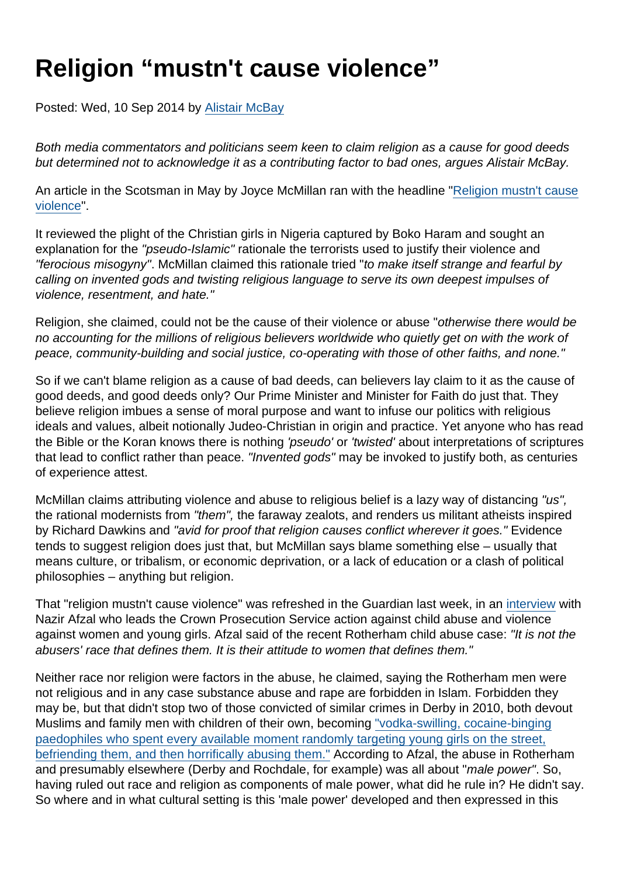## Religion "mustn't cause violence"

Posted: Wed, 10 Sep 2014 by [Alistair McBay](https://www.secularism.org.uk/opinion/authors/853)

Both media commentators and politicians seem keen to claim religion as a cause for good deeds but determined not to acknowledge it as a contributing factor to bad ones, argues Alistair McBay.

An article in the Scotsman in May by Joyce McMillan ran with the headline ["Religion mustn't cause](http://www.scotsman.com/news/joyce-mcmillan-religion-mustn-t-cause-violence-1-3404354) [violence](http://www.scotsman.com/news/joyce-mcmillan-religion-mustn-t-cause-violence-1-3404354)".

It reviewed the plight of the Christian girls in Nigeria captured by Boko Haram and sought an explanation for the "pseudo-Islamic" rationale the terrorists used to justify their violence and "ferocious misogyny". McMillan claimed this rationale tried "to make itself strange and fearful by calling on invented gods and twisting religious language to serve its own deepest impulses of violence, resentment, and hate."

Religion, she claimed, could not be the cause of their violence or abuse "otherwise there would be no accounting for the millions of religious believers worldwide who quietly get on with the work of peace, community-building and social justice, co-operating with those of other faiths, and none."

So if we can't blame religion as a cause of bad deeds, can believers lay claim to it as the cause of good deeds, and good deeds only? Our Prime Minister and Minister for Faith do just that. They believe religion imbues a sense of moral purpose and want to infuse our politics with religious ideals and values, albeit notionally Judeo-Christian in origin and practice. Yet anyone who has read the Bible or the Koran knows there is nothing 'pseudo' or 'twisted' about interpretations of scriptures that lead to conflict rather than peace. "Invented gods" may be invoked to justify both, as centuries of experience attest.

McMillan claims attributing violence and abuse to religious belief is a lazy way of distancing "us", the rational modernists from "them", the faraway zealots, and renders us militant atheists inspired by Richard Dawkins and "avid for proof that religion causes conflict wherever it goes." Evidence tends to suggest religion does just that, but McMillan says blame something else – usually that means culture, or tribalism, or economic deprivation, or a lack of education or a clash of political philosophies – anything but religion.

That "religion mustn't cause violence" was refreshed in the Guardian last week, in an [interview](http://www.theguardian.com/society/2014/sep/03/nazir-afzal-there-is-no-religious-basis-for-the-abuse-in-rotherham) with Nazir Afzal who leads the Crown Prosecution Service action against child abuse and violence against women and young girls. Afzal said of the recent Rotherham child abuse case: "It is not the abusers' race that defines them. It is their attitude to women that defines them."

Neither race nor religion were factors in the abuse, he claimed, saying the Rotherham men were not religious and in any case substance abuse and rape are forbidden in Islam. Forbidden they may be, but that didn't stop two of those convicted of similar crimes in Derby in 2010, both devout Muslims and family men with children of their own, becoming ["vodka-swilling, cocaine-binging](http://www.telegraph.co.uk/news/uknews/crime/8157739/Asian-gang-prowled-streets-searching-for-rape-victims.html) [paedophiles who spent every available moment randomly targeting young girls on the street,](http://www.telegraph.co.uk/news/uknews/crime/8157739/Asian-gang-prowled-streets-searching-for-rape-victims.html) [befriending them, and then horrifically abusing them."](http://www.telegraph.co.uk/news/uknews/crime/8157739/Asian-gang-prowled-streets-searching-for-rape-victims.html) According to Afzal, the abuse in Rotherham and presumably elsewhere (Derby and Rochdale, for example) was all about "male power". So, having ruled out race and religion as components of male power, what did he rule in? He didn't say. So where and in what cultural setting is this 'male power' developed and then expressed in this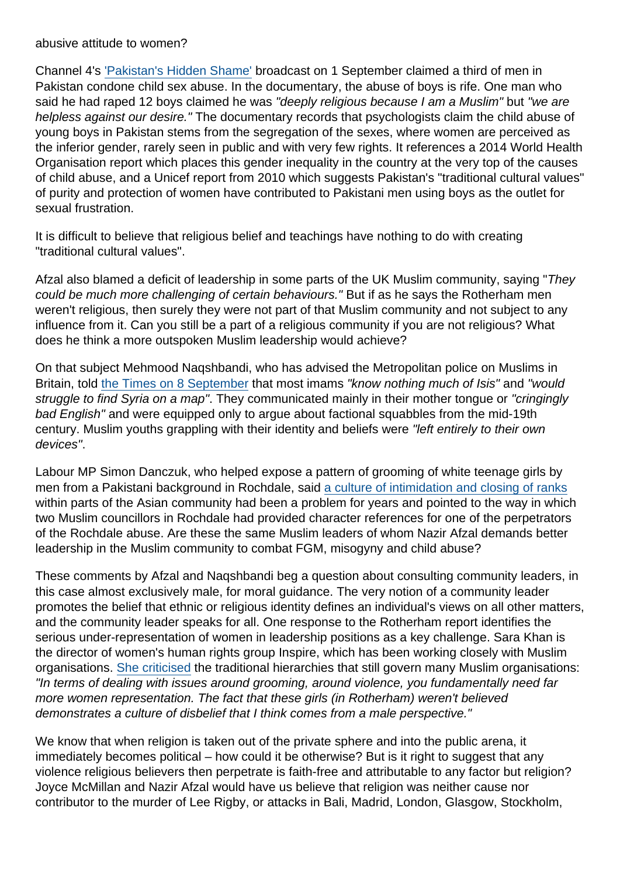## abusive attitude to women?

Channel 4's ['Pakistan's Hidden Shame'](http://www.channel4.com/programmes/pakistans-hidden-shame) broadcast on 1 September claimed a third of men in Pakistan condone child sex abuse. In the documentary, the abuse of boys is rife. One man who said he had raped 12 boys claimed he was "deeply religious because I am a Muslim" but "we are helpless against our desire." The documentary records that psychologists claim the child abuse of young boys in Pakistan stems from the segregation of the sexes, where women are perceived as the inferior gender, rarely seen in public and with very few rights. It references a 2014 World Health Organisation report which places this gender inequality in the country at the very top of the causes of child abuse, and a Unicef report from 2010 which suggests Pakistan's "traditional cultural values" of purity and protection of women have contributed to Pakistani men using boys as the outlet for sexual frustration.

It is difficult to believe that religious belief and teachings have nothing to do with creating "traditional cultural values".

Afzal also blamed a deficit of leadership in some parts of the UK Muslim community, saying "They could be much more challenging of certain behaviours." But if as he says the Rotherham men weren't religious, then surely they were not part of that Muslim community and not subject to any influence from it. Can you still be a part of a religious community if you are not religious? What does he think a more outspoken Muslim leadership would achieve?

On that subject Mehmood Naqshbandi, who has advised the Metropolitan police on Muslims in Britain, told [the Times on 8 September](http://www.thetimes.co.uk/tto/news/uk/article4199696.ece) that most imams "know nothing much of Isis" and "would struggle to find Syria on a map". They communicated mainly in their mother tongue or "cringingly bad English" and were equipped only to argue about factional squabbles from the mid-19th century. Muslim youths grappling with their identity and beliefs were "left entirely to their own devices".

Labour MP Simon Danczuk, who helped expose a pattern of grooming of white teenage girls by men from a Pakistani background in Rochdale, said [a culture of intimidation and closing of ranks](http://www.telegraph.co.uk/news/politics/labour/11065878/Labour-MPs-Left-ignored-sex-abuse.html) within parts of the Asian community had been a problem for years and pointed to the way in which two Muslim councillors in Rochdale had provided character references for one of the perpetrators of the Rochdale abuse. Are these the same Muslim leaders of whom Nazir Afzal demands better leadership in the Muslim community to combat FGM, misogyny and child abuse?

These comments by Afzal and Naqshbandi beg a question about consulting community leaders, in this case almost exclusively male, for moral guidance. The very notion of a community leader promotes the belief that ethnic or religious identity defines an individual's views on all other matters, and the community leader speaks for all. One response to the Rotherham report identifies the serious under-representation of women in leadership positions as a key challenge. Sara Khan is the director of women's human rights group Inspire, which has been working closely with Muslim organisations. [She criticised](http://www.theguardian.com/uk-news/2014/aug/30/rotherham-end-macho-culture-of-mosque-say-muslim-women) the traditional hierarchies that still govern many Muslim organisations: "In terms of dealing with issues around grooming, around violence, you fundamentally need far more women representation. The fact that these girls (in Rotherham) weren't believed demonstrates a culture of disbelief that I think comes from a male perspective."

We know that when religion is taken out of the private sphere and into the public arena, it immediately becomes political – how could it be otherwise? But is it right to suggest that any violence religious believers then perpetrate is faith-free and attributable to any factor but religion? Joyce McMillan and Nazir Afzal would have us believe that religion was neither cause nor contributor to the murder of Lee Rigby, or attacks in Bali, Madrid, London, Glasgow, Stockholm,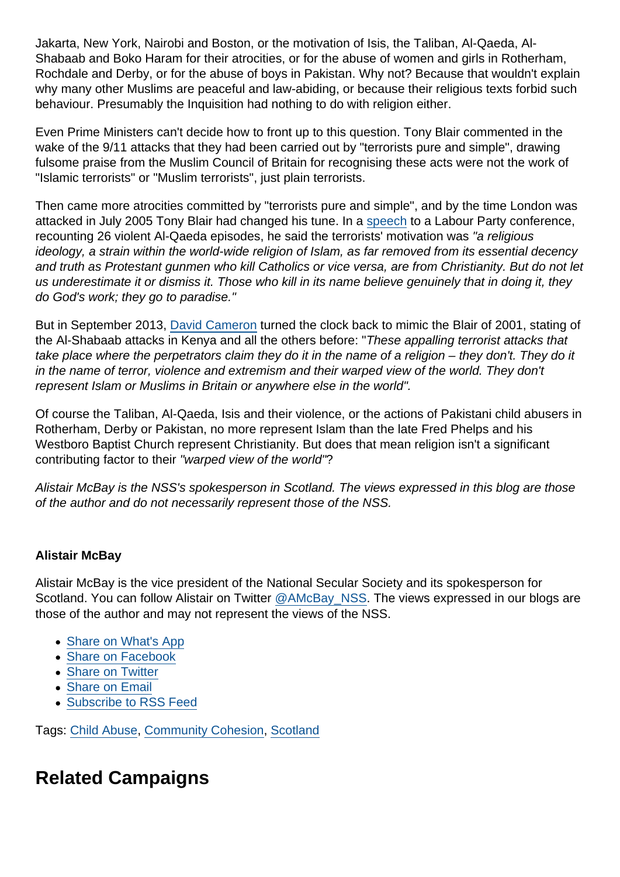Jakarta, New York, Nairobi and Boston, or the motivation of Isis, the Taliban, Al-Qaeda, Al-Shabaab and Boko Haram for their atrocities, or for the abuse of women and girls in Rotherham, Rochdale and Derby, or for the abuse of boys in Pakistan. Why not? Because that wouldn't explain why many other Muslims are peaceful and law-abiding, or because their religious texts forbid such behaviour. Presumably the Inquisition had nothing to do with religion either.

Even Prime Ministers can't decide how to front up to this question. Tony Blair commented in the wake of the 9/11 attacks that they had been carried out by "terrorists pure and simple", drawing fulsome praise from the Muslim Council of Britain for recognising these acts were not the work of "Islamic terrorists" or "Muslim terrorists", just plain terrorists.

Then came more atrocities committed by "terrorists pure and simple", and by the time London was attacked in July 2005 Tony Blair had changed his tune. In a [speech](http://news.bbc.co.uk/1/hi/uk/4689363.stm) to a Labour Party conference, recounting 26 violent Al-Qaeda episodes, he said the terrorists' motivation was "a religious ideology, a strain within the world-wide religion of Islam, as far removed from its essential decency and truth as Protestant gunmen who kill Catholics or vice versa, are from Christianity. But do not let us underestimate it or dismiss it. Those who kill in its name believe genuinely that in doing it, they do God's work; they go to paradise."

But in September 2013, [David Cameron](http://www.bbc.co.uk/news/uk-24195825) turned the clock back to mimic the Blair of 2001, stating of the Al-Shabaab attacks in Kenya and all the others before: "These appalling terrorist attacks that take place where the perpetrators claim they do it in the name of a religion – they don't. They do it in the name of terror, violence and extremism and their warped view of the world. They don't represent Islam or Muslims in Britain or anywhere else in the world".

Of course the Taliban, Al-Qaeda, Isis and their violence, or the actions of Pakistani child abusers in Rotherham, Derby or Pakistan, no more represent Islam than the late Fred Phelps and his Westboro Baptist Church represent Christianity. But does that mean religion isn't a significant contributing factor to their "warped view of the world"?

Alistair McBay is the NSS's spokesperson in Scotland. The views expressed in this blog are those of the author and do not necessarily represent those of the NSS.

## Alistair McBay

Alistair McBay is the vice president of the National Secular Society and its spokesperson for Scotland. You can follow Alistair on Twitter [@AMcBay\\_NSS](https://twitter.com/AMcBay_NSS). The views expressed in our blogs are those of the author and may not represent the views of the NSS.

- [Share on What's App](whatsapp://send?text=http://www.secularism.org.uk/opinion/2014/09/religion-mustnt-cause-violence?format=pdf)
- [Share on Facebook](https://www.facebook.com/sharer/sharer.php?u=http://www.secularism.org.uk/opinion/2014/09/religion-mustnt-cause-violence?format=pdf&t=Religion+“mustn)
- [Share on Twitter](https://twitter.com/intent/tweet?url=http://www.secularism.org.uk/opinion/2014/09/religion-mustnt-cause-violence?format=pdf&text=Religion+“mustn)
- [Share on Email](https://www.secularism.org.uk/share.html?url=http://www.secularism.org.uk/opinion/2014/09/religion-mustnt-cause-violence?format=pdf&title=Religion+“mustn)
- [Subscribe to RSS Feed](/mnt/web-data/www/cp-nss/feeds/rss/news)

Tags: [Child Abuse](https://www.secularism.org.uk/opinion/tags/Child+Abuse), [Community Cohesion](https://www.secularism.org.uk/opinion/tags/Community+Cohesion), [Scotland](https://www.secularism.org.uk/opinion/tags/Scotland)

Related Campaigns